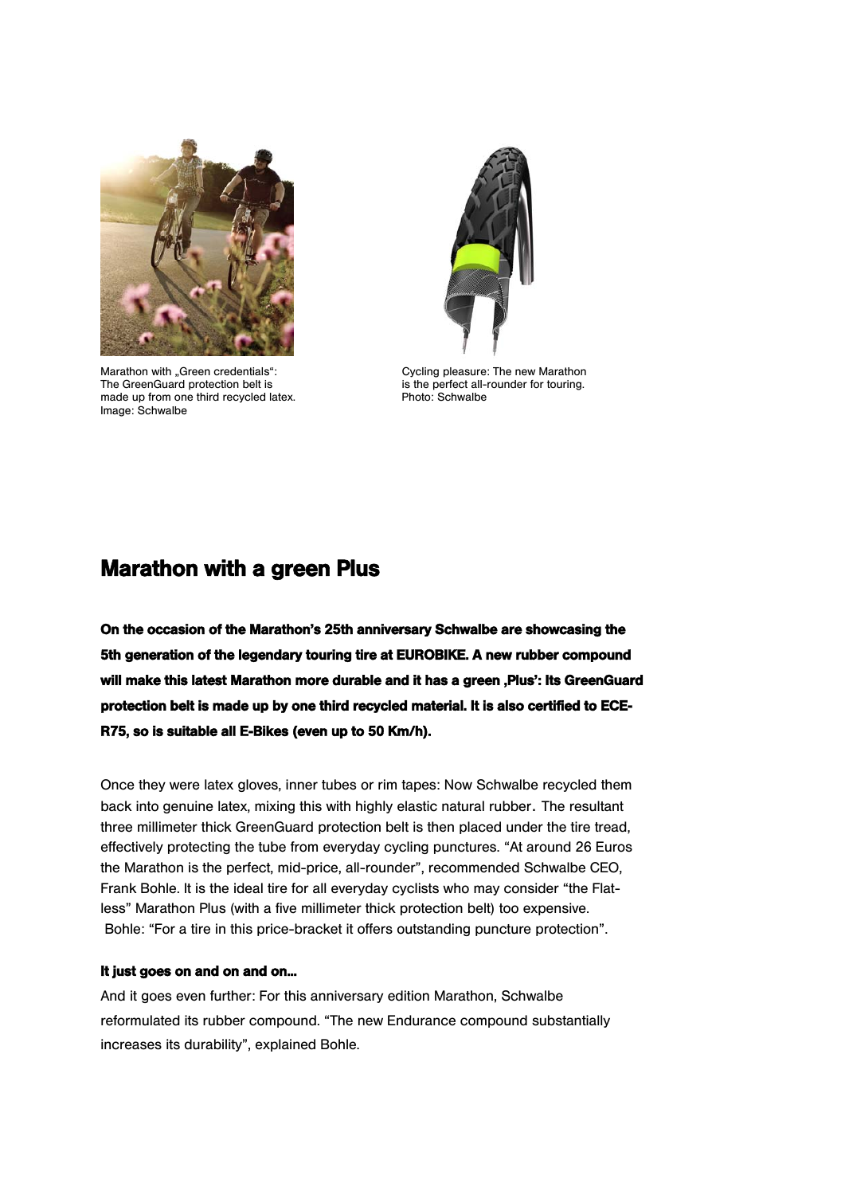

Marathon with "Green credentials":<br>
The Green Guard protection belt is<br>
is the perfect all-rounder for touring. The GreenGuard protection belt is is is the perfect all-rounder for touring.<br>made up from one third recycled latex. Photo: Schwalbe Image: Schwalbe



# Marathon with a green Plus

On the occasion of the Marathon's 25th anniversary Schwalbe are showcasing the 5th generation of the legendary touring tire at EUROBIKE. A new rubber compound will make this latest Marathon more durable and it has a green , Plus': Its GreenGuard protection belt is made up by one third recycled material. It is also certified to ECE-R75, so is suitable all E-Bikes (even up to 50 Km/h).

Once they were latex gloves, inner tubes or rim tapes: Now Schwalbe recycled them back into genuine latex, mixing this with highly elastic natural rubber. The resultant three millimeter thick GreenGuard protection belt is then placed under the tire tread, effectively protecting the tube from everyday cycling punctures. "At around 26 Euros the Marathon is the perfect, mid-price, all-rounder", recommended Schwalbe CEO, Frank Bohle. It is the ideal tire for all everyday cyclists who may consider "the Flatless" Marathon Plus (with a five millimeter thick protection belt) too expensive. Bohle: "For a tire in this price-bracket it offers outstanding puncture protection".

## It just goes on and on and on...

And it goes even further: For this anniversary edition Marathon, Schwalbe reformulated its rubber compound. "The new Endurance compound substantially increases its durability", explained Bohle.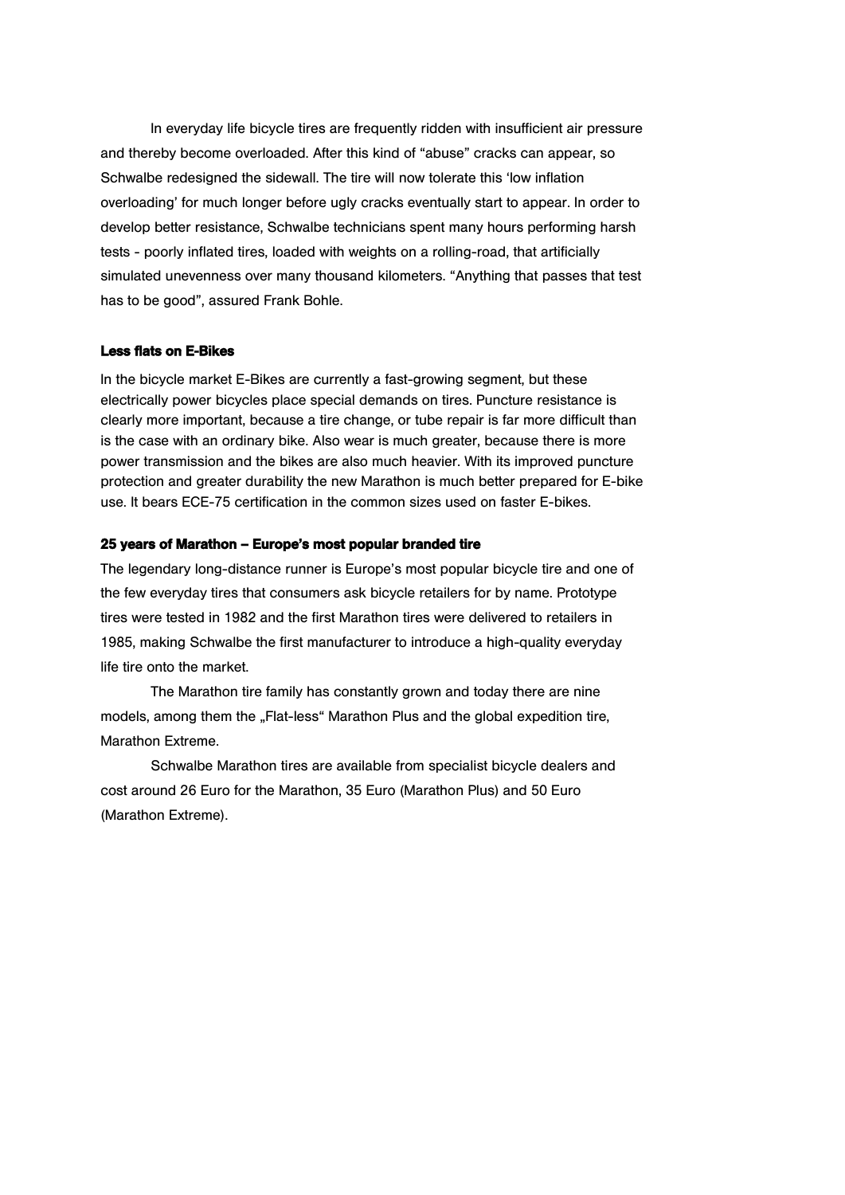In everyday life bicycle tires are frequently ridden with insufficient air pressure and thereby become overloaded. After this kind of "abuse" cracks can appear, so Schwalbe redesigned the sidewall. The tire will now tolerate this 'low inflation overloading' for much longer before ugly cracks eventually start to appear. In order to develop better resistance, Schwalbe technicians spent many hours performing harsh tests - poorly inflated tires, loaded with weights on a rolling-road, that artificially simulated unevenness over many thousand kilometers. "Anything that passes that test has to be good", assured Frank Bohle.

## Less flats on E-Bikes

In the bicycle market E-Bikes are currently a fast-growing segment, but these electrically power bicycles place special demands on tires. Puncture resistance is clearly more important, because a tire change, or tube repair is far more difficult than is the case with an ordinary bike. Also wear is much greater, because there is more power transmission and the bikes are also much heavier. With its improved puncture protection and greater durability the new Marathon is much better prepared for E-bike use. It bears ECE-75 certification in the common sizes used on faster E-bikes.

## 25 years of Marathon – Europe's most popular branded tire

The legendary long-distance runner is Europe's most popular bicycle tire and one of the few everyday tires that consumers ask bicycle retailers for by name. Prototype tires were tested in 1982 and the first Marathon tires were delivered to retailers in 1985, making Schwalbe the first manufacturer to introduce a high-quality everyday life tire onto the market.

The Marathon tire family has constantly grown and today there are nine models, among them the "Flat-less" Marathon Plus and the global expedition tire, Marathon Extreme.

Schwalbe Marathon tires are available from specialist bicycle dealers and cost around 26 Euro for the Marathon, 35 Euro (Marathon Plus) and 50 Euro (Marathon Extreme).